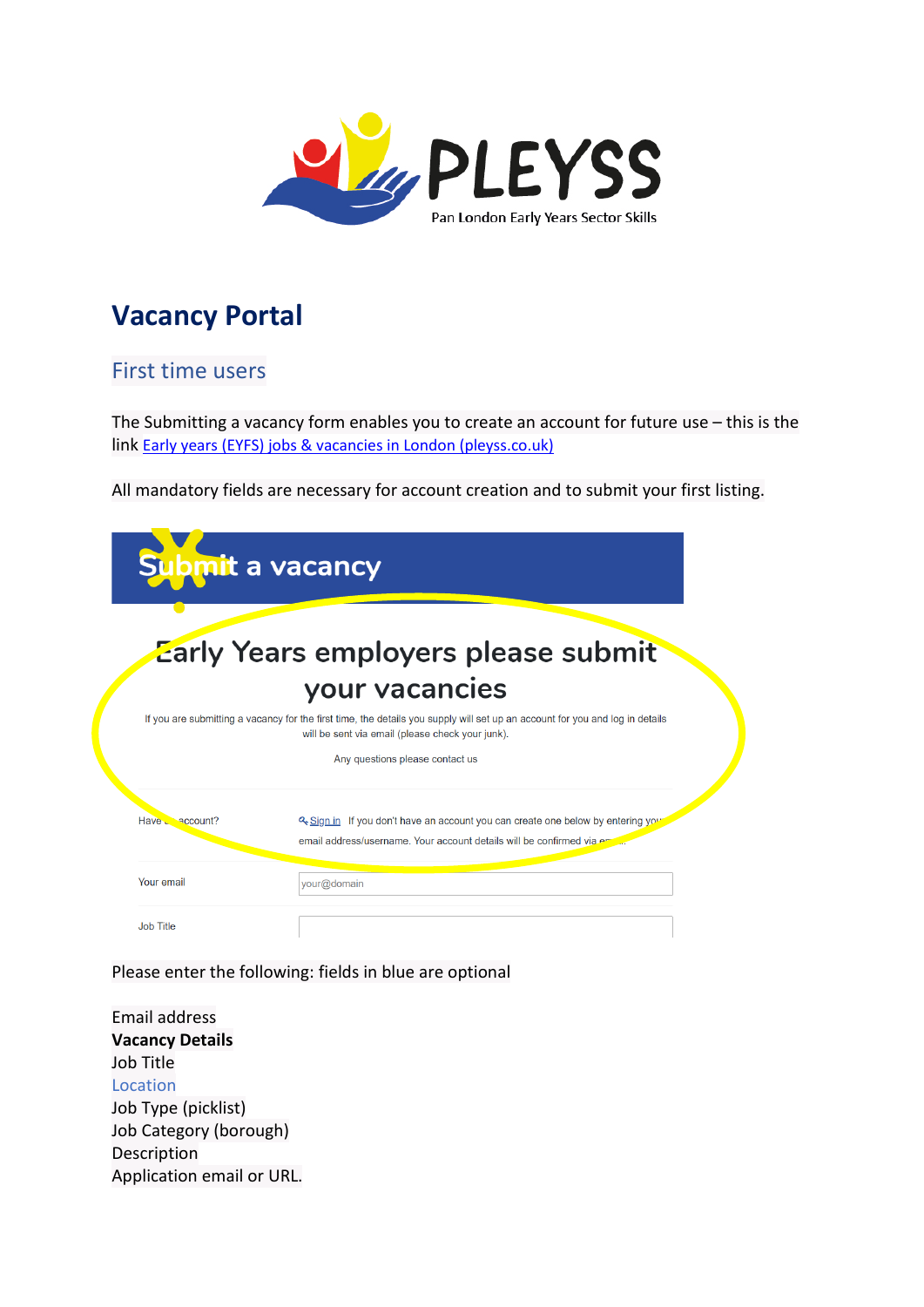

# **Vacancy Portal**

#### First time users

The Submitting a vacancy form enables you to create an account for future use – this is the link [Early years \(EYFS\) jobs & vacancies in London \(pleyss.co.uk\)](https://pleyss.co.uk/vacancy-portal/submit-a-vacancy/)

All mandatory fields are necessary for account creation and to submit your first listing.

| ubmit a vacancy      |                                                                                                                                                                                  |
|----------------------|----------------------------------------------------------------------------------------------------------------------------------------------------------------------------------|
|                      | <b>Zarly Years employers please submit</b>                                                                                                                                       |
|                      | your vacancies                                                                                                                                                                   |
|                      | If you are submitting a vacancy for the first time, the details you supply will set up an account for you and log in details<br>will be sent via email (please check your junk). |
|                      | Any questions please contact us                                                                                                                                                  |
| Have <u>account?</u> | 2. Sign in If you don't have an account you can create one below by entering you<br>email address/username. Your account details will be confirmed via em                        |
| Your email           | your@domain                                                                                                                                                                      |
| <b>Job Title</b>     |                                                                                                                                                                                  |

Please enter the following: fields in blue are optional

Email address **Vacancy Details** Job Title Location Job Type (picklist) Job Category (borough) Description Application email or URL.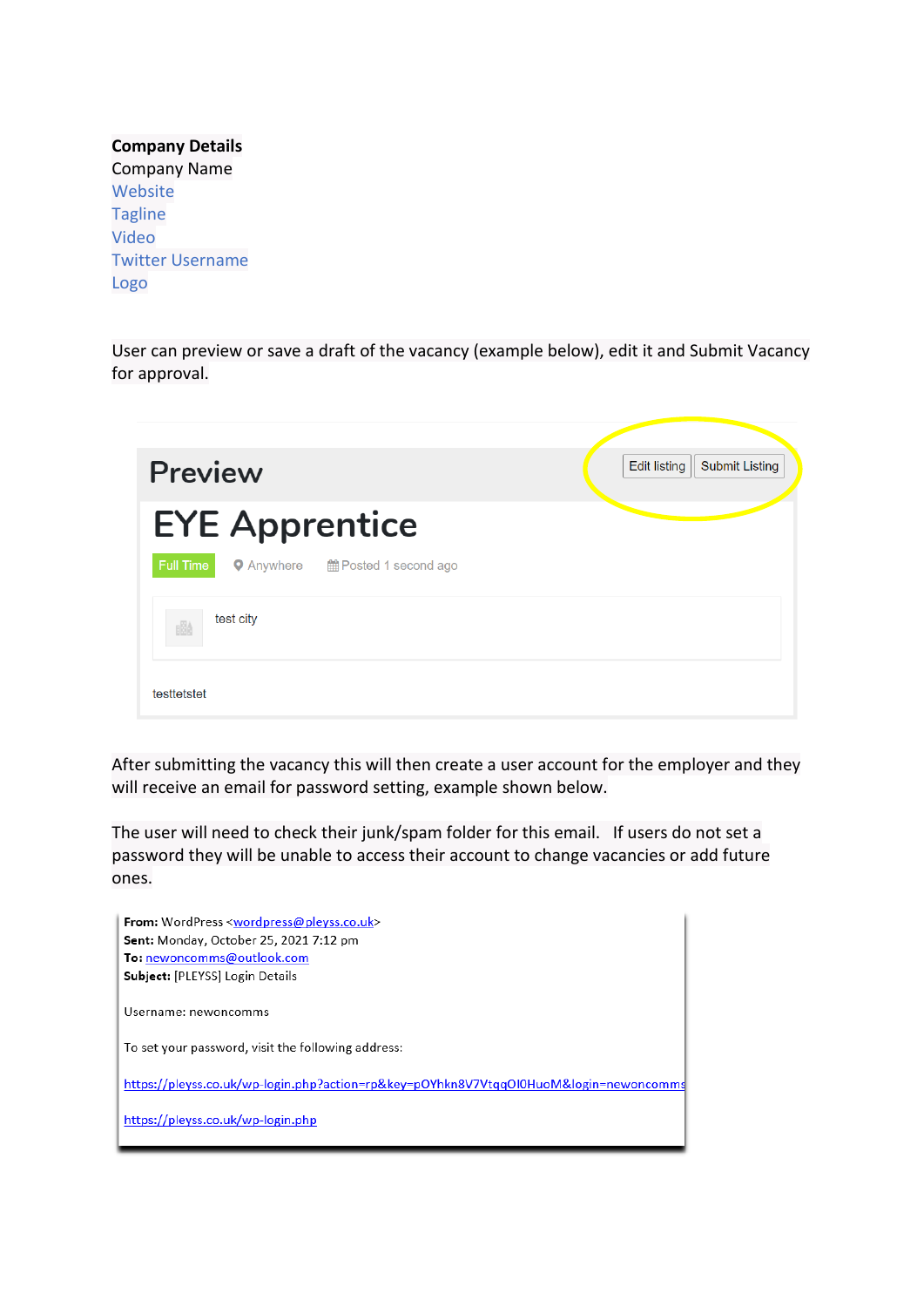| <b>Company Details</b>  |  |  |  |  |
|-------------------------|--|--|--|--|
| <b>Company Name</b>     |  |  |  |  |
| Website                 |  |  |  |  |
| <b>Tagline</b>          |  |  |  |  |
| Video                   |  |  |  |  |
| <b>Twitter Username</b> |  |  |  |  |
| Logo                    |  |  |  |  |

User can preview or save a draft of the vacancy (example below), edit it and Submit Vacancy for approval.

| <b>Preview</b>        |                                    | <b>Edit listing</b><br><b>Submit Listing</b> |
|-----------------------|------------------------------------|----------------------------------------------|
| <b>EYE Apprentice</b> |                                    |                                              |
| Full Time             | ● Anywhere ■ 图 Posted 1 second ago |                                              |
| test city<br>圈        |                                    |                                              |
| testtetstet           |                                    |                                              |

After submitting the vacancy this will then create a user account for the employer and they will receive an email for password setting, example shown below.

The user will need to check their junk/spam folder for this email. If users do not set a password they will be unable to access their account to change vacancies or add future ones.

| <b>From:</b> WordPress <wordpress@pleyss.co.uk></wordpress@pleyss.co.uk>              |
|---------------------------------------------------------------------------------------|
| Sent: Monday, October 25, 2021 7:12 pm                                                |
| To: newoncomms@outlook.com                                                            |
| Subject: [PLEYSS] Login Details                                                       |
| Username: newoncomms                                                                  |
| To set your password, visit the following address:                                    |
| https://pleyss.co.uk/wp-login.php?action=rp&key=pOYhkn8V7VtqqOl0HuoM&login=newoncomms |
| https://pleyss.co.uk/wp-login.php                                                     |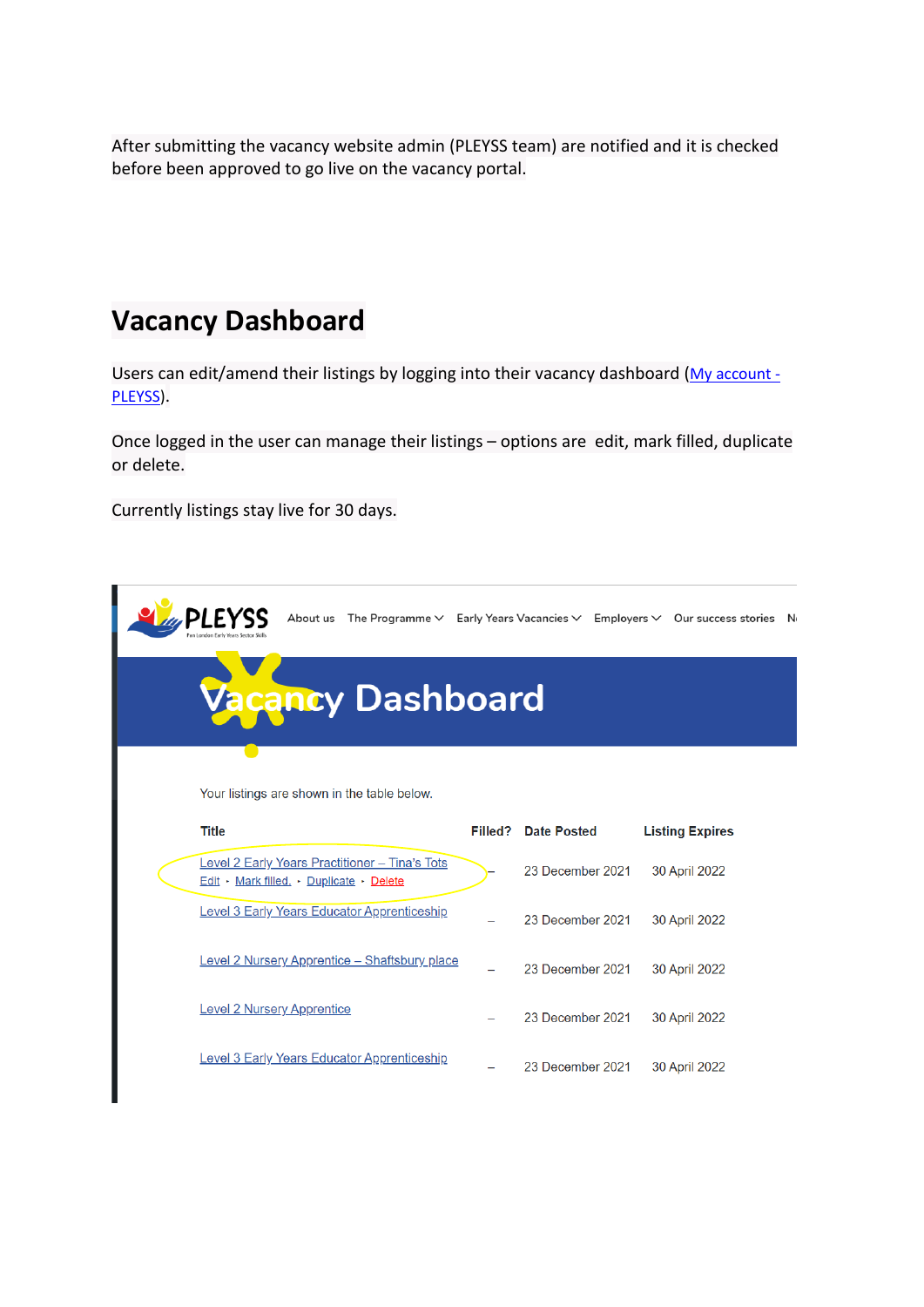After submitting the vacancy website admin (PLEYSS team) are notified and it is checked before been approved to go live on the vacancy portal.

## **Vacancy Dashboard**

Users can edit/amend their listings by logging into their vacancy dashboard (My account -[PLEYSS\)](https://pleyss.co.uk/my-account/).

Once logged in the user can manage their listings – options are edit, mark filled, duplicate or delete.

Currently listings stay live for 30 days.